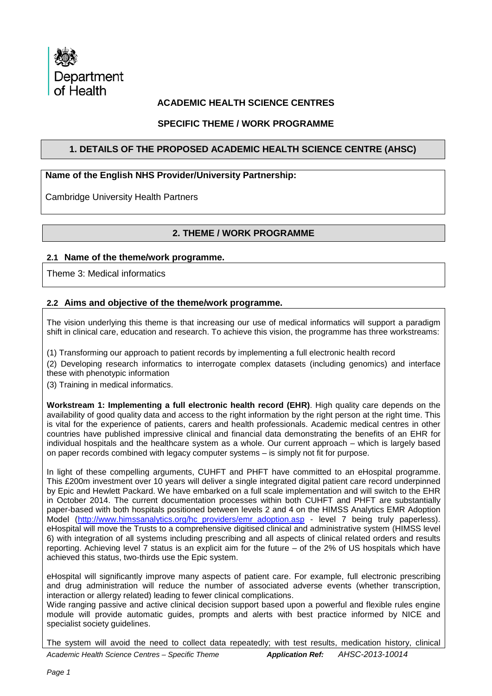

# **ACADEMIC HEALTH SCIENCE CENTRES**

## **SPECIFIC THEME / WORK PROGRAMME**

## **1. DETAILS OF THE PROPOSED ACADEMIC HEALTH SCIENCE CENTRE (AHSC)**

## **Name of the English NHS Provider/University Partnership:**

Cambridge University Health Partners

# **2. THEME / WORK PROGRAMME**

#### **2.1 Name of the theme/work programme.**

Theme 3: Medical informatics

### **2.2 Aims and objective of the theme/work programme.**

The vision underlying this theme is that increasing our use of medical informatics will support a paradigm shift in clinical care, education and research. To achieve this vision, the programme has three workstreams:

(1) Transforming our approach to patient records by implementing a full electronic health record

(2) Developing research informatics to interrogate complex datasets (including genomics) and interface these with phenotypic information

(3) Training in medical informatics.

**Workstream 1: Implementing a full electronic health record (EHR)**. High quality care depends on the availability of good quality data and access to the right information by the right person at the right time. This is vital for the experience of patients, carers and health professionals. Academic medical centres in other countries have published impressive clinical and financial data demonstrating the benefits of an EHR for individual hospitals and the healthcare system as a whole. Our current approach – which is largely based on paper records combined with legacy computer systems – is simply not fit for purpose.

In light of these compelling arguments, CUHFT and PHFT have committed to an eHospital programme. This £200m investment over 10 years will deliver a single integrated digital patient care record underpinned by Epic and Hewlett Packard. We have embarked on a full scale implementation and will switch to the EHR in October 2014. The current documentation processes within both CUHFT and PHFT are substantially paper-based with both hospitals positioned between levels 2 and 4 on the HIMSS Analytics EMR Adoption Model [\(http://www.himssanalytics.org/hc\\_providers/emr\\_adoption.asp](http://www.himssanalytics.org/hc_providers/emr_adoption.asp) - level 7 being truly paperless). eHospital will move the Trusts to a comprehensive digitised clinical and administrative system (HIMSS level 6) with integration of all systems including prescribing and all aspects of clinical related orders and results reporting. Achieving level 7 status is an explicit aim for the future – of the 2% of US hospitals which have achieved this status, two-thirds use the Epic system.

eHospital will significantly improve many aspects of patient care. For example, full electronic prescribing and drug administration will reduce the number of associated adverse events (whether transcription, interaction or allergy related) leading to fewer clinical complications.

Wide ranging passive and active clinical decision support based upon a powerful and flexible rules engine module will provide automatic guides, prompts and alerts with best practice informed by NICE and specialist society quidelines.

*Academic Health Science Centres – Specific Theme Application Ref: AHSC-2013-10014*  The system will avoid the need to collect data repeatedly; with test results, medication history, clinical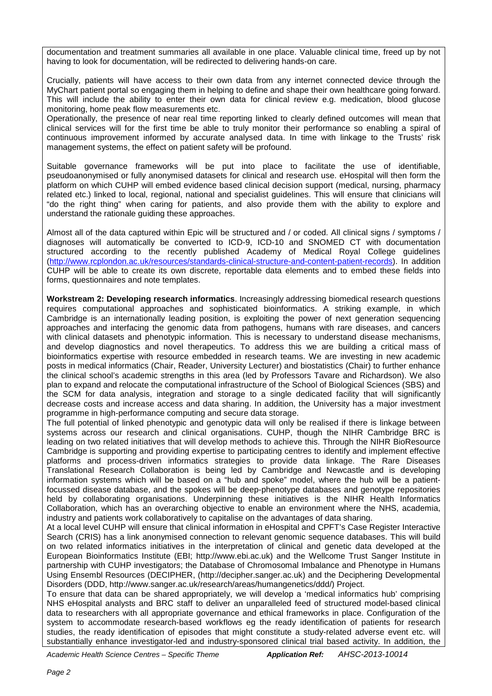documentation and treatment summaries all available in one place. Valuable clinical time, freed up by not having to look for documentation, will be redirected to delivering hands-on care.

Crucially, patients will have access to their own data from any internet connected device through the MyChart patient portal so engaging them in helping to define and shape their own healthcare going forward. This will include the ability to enter their own data for clinical review e.g. medication, blood glucose monitoring, home peak flow measurements etc.

Operationally, the presence of near real time reporting linked to clearly defined outcomes will mean that clinical services will for the first time be able to truly monitor their performance so enabling a spiral of continuous improvement informed by accurate analysed data. In time with linkage to the Trusts' risk management systems, the effect on patient safety will be profound.

Suitable governance frameworks will be put into place to facilitate the use of identifiable, pseudoanonymised or fully anonymised datasets for clinical and research use. eHospital will then form the platform on which CUHP will embed evidence based clinical decision support (medical, nursing, pharmacy related etc.) linked to local, regional, national and specialist guidelines. This will ensure that clinicians will "do the right thing" when caring for patients, and also provide them with the ability to explore and understand the rationale guiding these approaches.

Almost all of the data captured within Epic will be structured and / or coded. All clinical signs / symptoms / diagnoses will automatically be converted to ICD-9, ICD-10 and SNOMED CT with documentation structured according to the recently published Academy of Medical Royal College guidelines [\(http://www.rcplondon.ac.uk/resources/standards-clinical-structure-and-content-patient-records\)](http://www.rcplondon.ac.uk/resources/standards-clinical-structure-and-content-patient-records). In addition CUHP will be able to create its own discrete, reportable data elements and to embed these fields into forms, questionnaires and note templates.

**Workstream 2: Developing research informatics**. Increasingly addressing biomedical research questions requires computational approaches and sophisticated bioinformatics. A striking example, in which Cambridge is an internationally leading position, is exploiting the power of next generation sequencing approaches and interfacing the genomic data from pathogens, humans with rare diseases, and cancers with clinical datasets and phenotypic information. This is necessary to understand disease mechanisms, and develop diagnostics and novel therapeutics. To address this we are building a critical mass of bioinformatics expertise with resource embedded in research teams. We are investing in new academic posts in medical informatics (Chair, Reader, University Lecturer) and biostatistics (Chair) to further enhance the clinical school's academic strengths in this area (led by Professors Tavare and Richardson). We also plan to expand and relocate the computational infrastructure of the School of Biological Sciences (SBS) and the SCM for data analysis, integration and storage to a single dedicated facility that will significantly decrease costs and increase access and data sharing. In addition, the University has a major investment programme in high-performance computing and secure data storage.

The full potential of linked phenotypic and genotypic data will only be realised if there is linkage between systems across our research and clinical organisations. CUHP, though the NIHR Cambridge BRC is leading on two related initiatives that will develop methods to achieve this. Through the NIHR BioResource Cambridge is supporting and providing expertise to participating centres to identify and implement effective platforms and process-driven informatics strategies to provide data linkage. The Rare Diseases Translational Research Collaboration is being led by Cambridge and Newcastle and is developing information systems which will be based on a "hub and spoke" model, where the hub will be a patientfocussed disease database, and the spokes will be deep-phenotype databases and genotype repositories held by collaborating organisations. Underpinning these initiatives is the NIHR Health Informatics Collaboration, which has an overarching objective to enable an environment where the NHS, academia, industry and patients work collaboratively to capitalise on the advantages of data sharing.

At a local level CUHP will ensure that clinical information in eHospital and CPFT's Case Register Interactive Search (CRIS) has a link anonymised connection to relevant genomic sequence databases. This will build on two related informatics initiatives in the interpretation of clinical and genetic data developed at the European Bioinformatics Institute (EBI; http://www.ebi.ac.uk) and the Wellcome Trust Sanger Institute in partnership with CUHP investigators; the Database of Chromosomal Imbalance and Phenotype in Humans Using Ensembl Resources (DECIPHER, (http://decipher.sanger.ac.uk) and the Deciphering Developmental Disorders (DDD, http://www.sanger.ac.uk/research/areas/humangenetics/ddd/) Project.

To ensure that data can be shared appropriately, we will develop a 'medical informatics hub' comprising NHS eHospital analysts and BRC staff to deliver an unparalleled feed of structured model-based clinical data to researchers with all appropriate governance and ethical frameworks in place. Configuration of the system to accommodate research-based workflows eg the ready identification of patients for research studies, the ready identification of episodes that might constitute a study-related adverse event etc. will substantially enhance investigator-led and industry-sponsored clinical trial based activity. In addition, the

*Academic Health Science Centres – Specific Theme Application Ref: AHSC-2013-10014*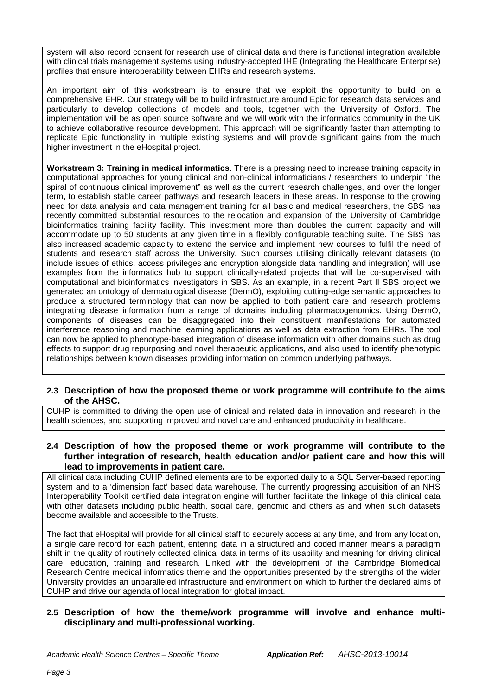system will also record consent for research use of clinical data and there is functional integration available with clinical trials management systems using industry-accepted IHE (Integrating the Healthcare Enterprise) profiles that ensure interoperability between EHRs and research systems.

An important aim of this workstream is to ensure that we exploit the opportunity to build on a comprehensive EHR. Our strategy will be to build infrastructure around Epic for research data services and particularly to develop collections of models and tools, together with the University of Oxford. The implementation will be as open source software and we will work with the informatics community in the UK to achieve collaborative resource development. This approach will be significantly faster than attempting to replicate Epic functionality in multiple existing systems and will provide significant gains from the much higher investment in the eHospital project.

**Workstream 3: Training in medical informatics**. There is a pressing need to increase training capacity in computational approaches for young clinical and non-clinical informaticians / researchers to underpin "the spiral of continuous clinical improvement" as well as the current research challenges, and over the longer term, to establish stable career pathways and research leaders in these areas. In response to the growing need for data analysis and data management training for all basic and medical researchers, the SBS has recently committed substantial resources to the relocation and expansion of the University of Cambridge bioinformatics training facility facility. This investment more than doubles the current capacity and will accommodate up to 50 students at any given time in a flexibly configurable teaching suite. The SBS has also increased academic capacity to extend the service and implement new courses to fulfil the need of students and research staff across the University. Such courses utilising clinically relevant datasets (to include issues of ethics, access privileges and encryption alongside data handling and integration) will use examples from the informatics hub to support clinically-related projects that will be co-supervised with computational and bioinformatics investigators in SBS. As an example, in a recent Part II SBS project we generated an ontology of dermatological disease (DermO), exploiting cutting-edge semantic approaches to produce a structured terminology that can now be applied to both patient care and research problems integrating disease information from a range of domains including pharmacogenomics. Using DermO, components of diseases can be disaggregated into their constituent manifestations for automated interference reasoning and machine learning applications as well as data extraction from EHRs. The tool can now be applied to phenotype-based integration of disease information with other domains such as drug effects to support drug repurposing and novel therapeutic applications, and also used to identify phenotypic relationships between known diseases providing information on common underlying pathways.

### **2.3 Description of how the proposed theme or work programme will contribute to the aims of the AHSC.**

CUHP is committed to driving the open use of clinical and related data in innovation and research in the health sciences, and supporting improved and novel care and enhanced productivity in healthcare.

**2.4 Description of how the proposed theme or work programme will contribute to the further integration of research, health education and/or patient care and how this will lead to improvements in patient care.**

All clinical data including CUHP defined elements are to be exported daily to a SQL Server-based reporting system and to a 'dimension fact' based data warehouse. The currently progressing acquisition of an NHS Interoperability Toolkit certified data integration engine will further facilitate the linkage of this clinical data with other datasets including public health, social care, genomic and others as and when such datasets become available and accessible to the Trusts.

The fact that eHospital will provide for all clinical staff to securely access at any time, and from any location, a single care record for each patient, entering data in a structured and coded manner means a paradigm shift in the quality of routinely collected clinical data in terms of its usability and meaning for driving clinical care, education, training and research. Linked with the development of the Cambridge Biomedical Research Centre medical informatics theme and the opportunities presented by the strengths of the wider University provides an unparalleled infrastructure and environment on which to further the declared aims of CUHP and drive our agenda of local integration for global impact.

## **2.5 Description of how the theme/work programme will involve and enhance multidisciplinary and multi-professional working.**